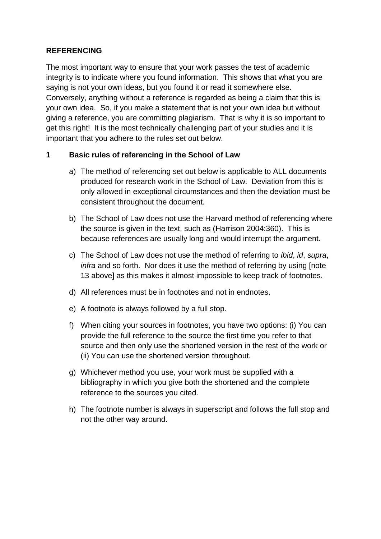### **REFERENCING**

The most important way to ensure that your work passes the test of academic integrity is to indicate where you found information. This shows that what you are saying is not your own ideas, but you found it or read it somewhere else. Conversely, anything without a reference is regarded as being a claim that this is your own idea. So, if you make a statement that is not your own idea but without giving a reference, you are committing plagiarism. That is why it is so important to get this right! It is the most technically challenging part of your studies and it is important that you adhere to the rules set out below.

## **1 Basic rules of referencing in the School of Law**

- a) The method of referencing set out below is applicable to ALL documents produced for research work in the School of Law. Deviation from this is only allowed in exceptional circumstances and then the deviation must be consistent throughout the document.
- b) The School of Law does not use the Harvard method of referencing where the source is given in the text, such as (Harrison 2004:360). This is because references are usually long and would interrupt the argument.
- c) The School of Law does not use the method of referring to *ibid*, *id*, *supra*, *infra* and so forth. Nor does it use the method of referring by using [note 13 above] as this makes it almost impossible to keep track of footnotes.
- d) All references must be in footnotes and not in endnotes.
- e) A footnote is always followed by a full stop.
- f) When citing your sources in footnotes, you have two options: (i) You can provide the full reference to the source the first time you refer to that source and then only use the shortened version in the rest of the work or (ii) You can use the shortened version throughout.
- g) Whichever method you use, your work must be supplied with a bibliography in which you give both the shortened and the complete reference to the sources you cited.
- h) The footnote number is always in superscript and follows the full stop and not the other way around.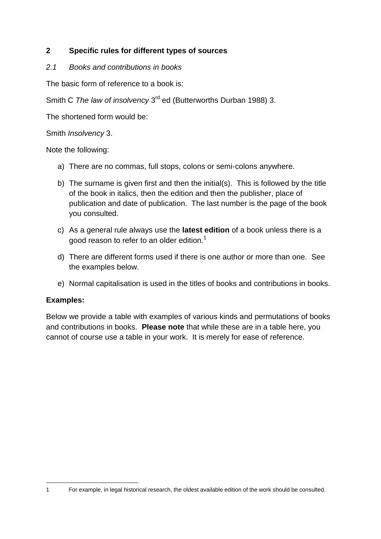## **2 Specific rules for different types of sources**

*2.1 Books and contributions in books*

The basic form of reference to a book is:

Smith C The law of insolvency 3<sup>rd</sup> ed (Butterworths Durban 1988) 3.

The shortened form would be:

Smith *Insolvency* 3.

Note the following:

- a) There are no commas, full stops, colons or semi-colons anywhere.
- b) The surname is given first and then the initial(s). This is followed by the title of the book in italics, then the edition and then the publisher, place of publication and date of publication. The last number is the page of the book you consulted.
- c) As a general rule always use the **latest edition** of a book unless there is a good reason to refer to an older edition.<sup>1</sup>
- d) There are different forms used if there is one author or more than one. See the examples below.
- e) Normal capitalisation is used in the titles of books and contributions in books.

#### **Examples:**

Below we provide a table with examples of various kinds and permutations of books and contributions in books. **Please note** that while these are in a table here, you cannot of course use a table in your work. It is merely for ease of reference.

1

<sup>1</sup> For example, in legal historical research, the oldest available edition of the work should be consulted.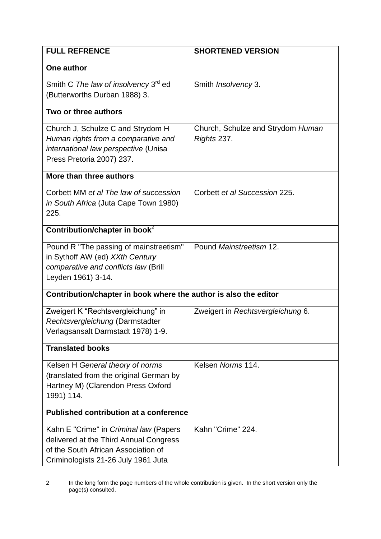| <b>FULL REFRENCE</b>                                                                                                                                           | <b>SHORTENED VERSION</b>                         |  |  |
|----------------------------------------------------------------------------------------------------------------------------------------------------------------|--------------------------------------------------|--|--|
| One author                                                                                                                                                     |                                                  |  |  |
| Smith C The law of insolvency 3 <sup>rd</sup> ed<br>(Butterworths Durban 1988) 3.                                                                              | Smith <i>Insolvency</i> 3.                       |  |  |
| Two or three authors                                                                                                                                           |                                                  |  |  |
| Church J, Schulze C and Strydom H<br>Human rights from a comparative and<br>international law perspective (Unisa<br>Press Pretoria 2007) 237.                  | Church, Schulze and Strydom Human<br>Rights 237. |  |  |
| More than three authors                                                                                                                                        |                                                  |  |  |
| Corbett MM et al The law of succession<br>in South Africa (Juta Cape Town 1980)<br>225.                                                                        | Corbett et al Succession 225.                    |  |  |
| Contribution/chapter in book <sup>2</sup>                                                                                                                      |                                                  |  |  |
| Pound R "The passing of mainstreetism"<br>in Sythoff AW (ed) XXth Century<br>comparative and conflicts law (Brill<br>Leyden 1961) 3-14.                        | Pound Mainstreetism 12.                          |  |  |
| Contribution/chapter in book where the author is also the editor                                                                                               |                                                  |  |  |
| Zweigert K "Rechtsvergleichung" in<br>Rechtsvergleichung (Darmstadter<br>Verlagsansalt Darmstadt 1978) 1-9.                                                    | Zweigert in Rechtsvergleichung 6.                |  |  |
| <b>Translated books</b>                                                                                                                                        |                                                  |  |  |
| Kelsen H General theory of norms<br>(translated from the original German by<br>Hartney M) (Clarendon Press Oxford<br>1991) 114.                                | Kelsen Norms 114.                                |  |  |
| <b>Published contribution at a conference</b>                                                                                                                  |                                                  |  |  |
| Kahn E "Crime" in Criminal law (Papers<br>delivered at the Third Annual Congress<br>of the South African Association of<br>Criminologists 21-26 July 1961 Juta | Kahn "Crime" 224.                                |  |  |

 $\overline{2}$ 2 In the long form the page numbers of the whole contribution is given. In the short version only the page(s) consulted.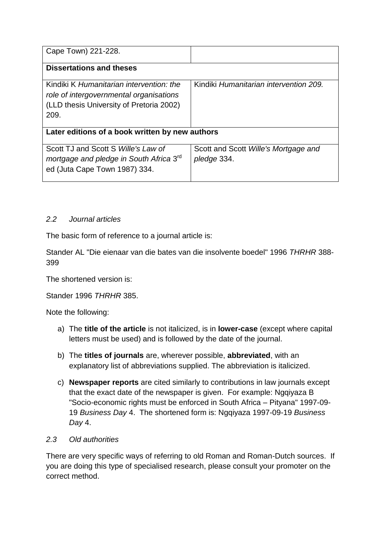| Cape Town) 221-228.                                                                                                                     |                                                     |  |
|-----------------------------------------------------------------------------------------------------------------------------------------|-----------------------------------------------------|--|
| <b>Dissertations and theses</b>                                                                                                         |                                                     |  |
| Kindiki K Humanitarian intervention: the<br>role of intergovernmental organisations<br>(LLD thesis University of Pretoria 2002)<br>209. | Kindiki Humanitarian intervention 209.              |  |
| Later editions of a book written by new authors                                                                                         |                                                     |  |
| Scott TJ and Scott S Wille's Law of<br>mortgage and pledge in South Africa 3 <sup>rd</sup><br>ed (Juta Cape Town 1987) 334.             | Scott and Scott Wille's Mortgage and<br>pledge 334. |  |

## *2.2 Journal articles*

The basic form of reference to a journal article is:

Stander AL "Die eienaar van die bates van die insolvente boedel" 1996 *THRHR* 388- 399

The shortened version is:

Stander 1996 *THRHR* 385.

Note the following:

- a) The **title of the article** is not italicized, is in **lower-case** (except where capital letters must be used) and is followed by the date of the journal.
- b) The **titles of journals** are, wherever possible, **abbreviated**, with an explanatory list of abbreviations supplied. The abbreviation is italicized.
- c) **Newspaper reports** are cited similarly to contributions in law journals except that the exact date of the newspaper is given. For example: Ngqiyaza B "Socio-economic rights must be enforced in South Africa – Pityana" 1997-09- 19 *Business Day* 4. The shortened form is: Ngqiyaza 1997-09-19 *Business Day* 4.

#### *2.3 Old authorities*

There are very specific ways of referring to old Roman and Roman-Dutch sources. If you are doing this type of specialised research, please consult your promoter on the correct method.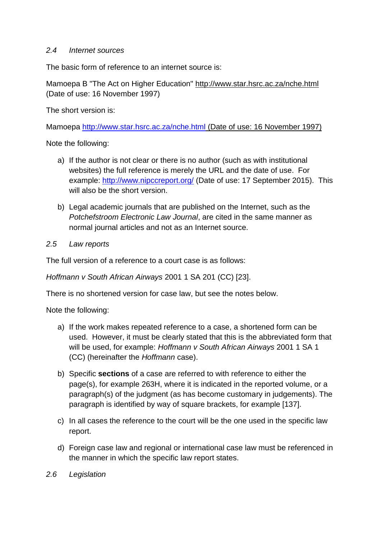#### *2.4 Internet sources*

The basic form of reference to an internet source is:

Mamoepa B "The Act on Higher Education" http://www.star.hsrc.ac.za/nche.html (Date of use: 16 November 1997)

The short version is:

Mamoepa<http://www.star.hsrc.ac.za/nche.html> (Date of use: 16 November 1997)

Note the following:

- a) If the author is not clear or there is no author (such as with institutional websites) the full reference is merely the URL and the date of use. For example:<http://www.nipccreport.org/> (Date of use: 17 September 2015). This will also be the short version.
- b) Legal academic journals that are published on the Internet, such as the *Potchefstroom Electronic Law Journal*, are cited in the same manner as normal journal articles and not as an Internet source.
- *2.5 Law reports*

The full version of a reference to a court case is as follows:

*Hoffmann v South African Airways* 2001 1 SA 201 (CC) [23].

There is no shortened version for case law, but see the notes below.

Note the following:

- a) If the work makes repeated reference to a case, a shortened form can be used. However, it must be clearly stated that this is the abbreviated form that will be used, for example: *Hoffmann v South African Airways* 2001 1 SA 1 (CC) (hereinafter the *Hoffmann* case).
- b) Specific **sections** of a case are referred to with reference to either the page(s), for example 263H, where it is indicated in the reported volume, or a paragraph(s) of the judgment (as has become customary in judgements). The paragraph is identified by way of square brackets, for example [137].
- c) In all cases the reference to the court will be the one used in the specific law report.
- d) Foreign case law and regional or international case law must be referenced in the manner in which the specific law report states.
- *2.6 Legislation*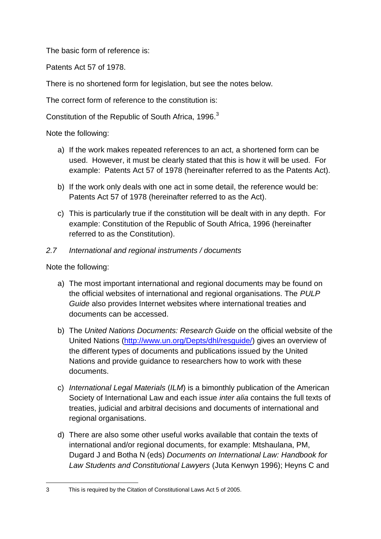The basic form of reference is:

Patents Act 57 of 1978.

There is no shortened form for legislation, but see the notes below.

The correct form of reference to the constitution is:

Constitution of the Republic of South Africa, 1996.<sup>3</sup>

Note the following:

- a) If the work makes repeated references to an act, a shortened form can be used. However, it must be clearly stated that this is how it will be used. For example: Patents Act 57 of 1978 (hereinafter referred to as the Patents Act).
- b) If the work only deals with one act in some detail, the reference would be: Patents Act 57 of 1978 (hereinafter referred to as the Act).
- c) This is particularly true if the constitution will be dealt with in any depth. For example: Constitution of the Republic of South Africa, 1996 (hereinafter referred to as the Constitution).

## *2.7 International and regional instruments / documents*

Note the following:

- a) The most important international and regional documents may be found on the official websites of international and regional organisations. The *PULP Guide* also provides Internet websites where international treaties and documents can be accessed.
- b) The *United Nations Documents: Research Guide* on the official website of the United Nations [\(http://www.un.org/Depts/dhl/resguide/\)](http://www.un.org/Depts/dhl/resguide/) gives an overview of the different types of documents and publications issued by the United Nations and provide guidance to researchers how to work with these documents.
- c) *International Legal Materials* (*ILM*) is a bimonthly publication of the American Society of International Law and each issue *inter alia* contains the full texts of treaties, judicial and arbitral decisions and documents of international and regional organisations.
- d) There are also some other useful works available that contain the texts of international and/or regional documents, for example: Mtshaulana, PM, Dugard J and Botha N (eds) *Documents on International Law: Handbook for Law Students and Constitutional Lawyers* (Juta Kenwyn 1996); Heyns C and

<sup>1</sup> 3 This is required by the Citation of Constitutional Laws Act 5 of 2005.